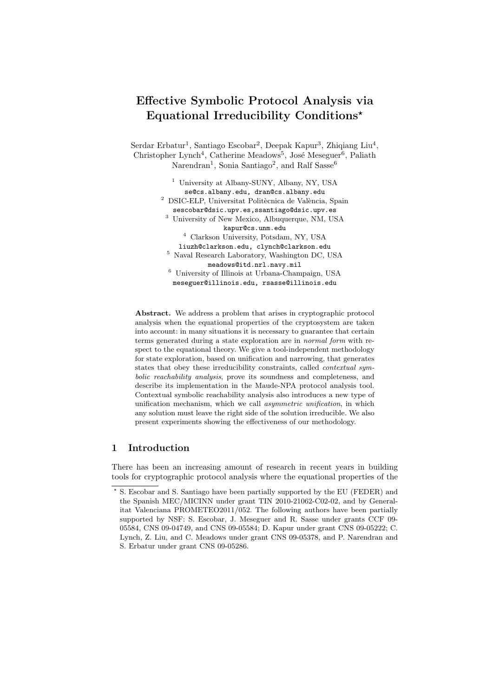# Effective Symbolic Protocol Analysis via Equational Irreducibility Conditions?

Serdar Erbatur<sup>1</sup>, Santiago Escobar<sup>2</sup>, Deepak Kapur<sup>3</sup>, Zhiqiang Liu<sup>4</sup>, Christopher Lynch<sup>4</sup>, Catherine Meadows<sup>5</sup>, José Meseguer<sup>6</sup>, Paliath Narendran<sup>1</sup>, Sonia Santiago<sup>2</sup>, and Ralf Sasse<sup>6</sup>

> <sup>1</sup> University at Albany-SUNY, Albany, NY, USA se@cs.albany.edu, dran@cs.albany.edu  $^2\,$  DSIC-ELP, Universitat Politècnica de València, Spain sescobar@dsic.upv.es,ssantiago@dsic.upv.es <sup>3</sup> University of New Mexico, Albuquerque, NM, USA kapur@cs.unm.edu <sup>4</sup> Clarkson University, Potsdam, NY, USA liuzh@clarkson.edu, clynch@clarkson.edu <sup>5</sup> Naval Research Laboratory, Washington DC, USA meadows@itd.nrl.navy.mil <sup>6</sup> University of Illinois at Urbana-Champaign, USA meseguer@illinois.edu, rsasse@illinois.edu

Abstract. We address a problem that arises in cryptographic protocol analysis when the equational properties of the cryptosystem are taken into account: in many situations it is necessary to guarantee that certain terms generated during a state exploration are in normal form with respect to the equational theory. We give a tool-independent methodology for state exploration, based on unification and narrowing, that generates states that obey these irreducibility constraints, called contextual symbolic reachability analysis, prove its soundness and completeness, and describe its implementation in the Maude-NPA protocol analysis tool. Contextual symbolic reachability analysis also introduces a new type of unification mechanism, which we call asymmetric unification, in which any solution must leave the right side of the solution irreducible. We also present experiments showing the effectiveness of our methodology.

## 1 Introduction

There has been an increasing amount of research in recent years in building tools for cryptographic protocol analysis where the equational properties of the

<sup>?</sup> S. Escobar and S. Santiago have been partially supported by the EU (FEDER) and the Spanish MEC/MICINN under grant TIN 2010-21062-C02-02, and by Generalitat Valenciana PROMETEO2011/052. The following authors have been partially supported by NSF: S. Escobar, J. Meseguer and R. Sasse under grants CCF 09- 05584, CNS 09-04749, and CNS 09-05584; D. Kapur under grant CNS 09-05222; C. Lynch, Z. Liu, and C. Meadows under grant CNS 09-05378, and P. Narendran and S. Erbatur under grant CNS 09-05286.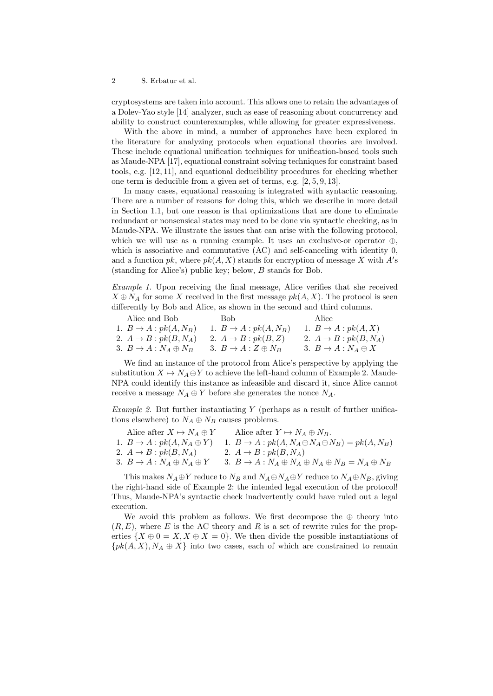cryptosystems are taken into account. This allows one to retain the advantages of a Dolev-Yao style [14] analyzer, such as ease of reasoning about concurrency and ability to construct counterexamples, while allowing for greater expressiveness.

With the above in mind, a number of approaches have been explored in the literature for analyzing protocols when equational theories are involved. These include equational unification techniques for unification-based tools such as Maude-NPA [17], equational constraint solving techniques for constraint based tools, e.g. [12, 11], and equational deducibility procedures for checking whether one term is deducible from a given set of terms, e.g. [2, 5, 9, 13].

In many cases, equational reasoning is integrated with syntactic reasoning. There are a number of reasons for doing this, which we describe in more detail in Section 1.1, but one reason is that optimizations that are done to eliminate redundant or nonsensical states may need to be done via syntactic checking, as in Maude-NPA. We illustrate the issues that can arise with the following protocol, which we will use as a running example. It uses an exclusive-or operator  $\oplus$ , which is associative and commutative (AC) and self-canceling with identity 0. and a function  $pk$ , where  $pk(A, X)$  stands for encryption of message X with  $A$ 's (standing for Alice's) public key; below, B stands for Bob.

Example 1. Upon receiving the final message, Alice verifies that she received  $X \oplus N_A$  for some X received in the first message  $pk(A, X)$ . The protocol is seen differently by Bob and Alice, as shown in the second and third columns.

Alice and Bob 1.  $B \rightarrow A : pk(A, N_B)$ 2.  $A \rightarrow B : pk(B, N_A)$ 3.  $B \to A : N_A \oplus N_B$ Bob 1.  $B \rightarrow A : pk(A, N_B)$ 2.  $A \rightarrow B : pk(B, Z)$ 3.  $B \to A : Z \oplus N_B$ Alice 1.  $B \to A : pk(A, X)$ 2.  $A \rightarrow B : pk(B, N_A)$ 3.  $B \to A : N_A \oplus X$ 

We find an instance of the protocol from Alice's perspective by applying the substitution  $X \mapsto N_A \oplus Y$  to achieve the left-hand column of Example 2. Maude-NPA could identify this instance as infeasible and discard it, since Alice cannot receive a message  $N_A \oplus Y$  before she generates the nonce  $N_A$ .

*Example 2.* But further instantiating  $Y$  (perhaps as a result of further unifications elsewhere) to  $N_A \oplus N_B$  causes problems.

| Alice after $X \mapsto N_A \oplus Y$   | Alice after $Y \mapsto N_A \oplus N_B$ .                             |
|----------------------------------------|----------------------------------------------------------------------|
| 1. $B \to A : pk(A, N_A \oplus Y)$     | 1. $B \to A : pk(A, N_A \oplus N_A \oplus N_B) = pk(A, N_B)$         |
| 2. $A \rightarrow B : pk(B, N_A)$      | 2. $A \rightarrow B : pk(B, N_A)$                                    |
| 3. $B \to A : N_A \oplus N_A \oplus Y$ | 3. $B \to A : N_A \oplus N_A \oplus N_A \oplus N_B = N_A \oplus N_B$ |

This makes  $N_A \oplus Y$  reduce to  $N_B$  and  $N_A \oplus N_A \oplus Y$  reduce to  $N_A \oplus N_B$ , giving the right-hand side of Example 2: the intended legal execution of the protocol! Thus, Maude-NPA's syntactic check inadvertently could have ruled out a legal execution.

We avoid this problem as follows. We first decompose the  $\oplus$  theory into  $(R, E)$ , where E is the AC theory and R is a set of rewrite rules for the properties  $\{X \oplus 0 = X, X \oplus X = 0\}$ . We then divide the possible instantiations of  $\{pk(A, X), N_A \oplus X\}$  into two cases, each of which are constrained to remain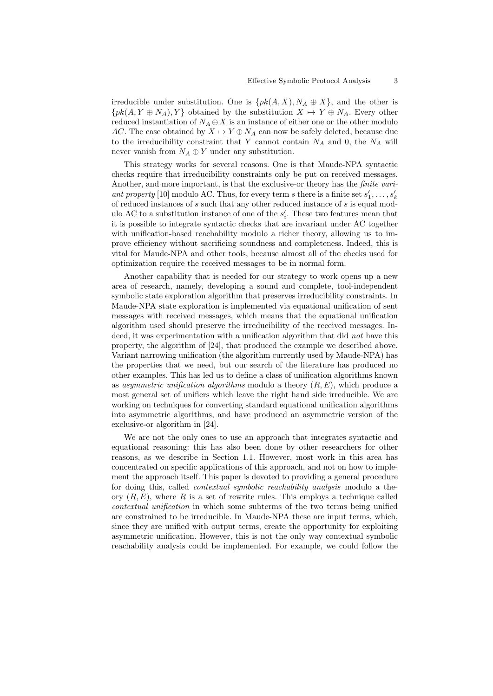irreducible under substitution. One is  $\{pk(A, X), N_A \oplus X\}$ , and the other is  $\{pk(A, Y \oplus N_A), Y\}$  obtained by the substitution  $X \mapsto Y \oplus N_A$ . Every other reduced instantiation of  $N_A \oplus X$  is an instance of either one or the other modulo AC. The case obtained by  $X \mapsto Y \oplus N_A$  can now be safely deleted, because due to the irreducibility constraint that Y cannot contain  $N_A$  and 0, the  $N_A$  will never vanish from  $N_A \oplus Y$  under any substitution.

This strategy works for several reasons. One is that Maude-NPA syntactic checks require that irreducibility constraints only be put on received messages. Another, and more important, is that the exclusive-or theory has the *finite vari*ant property [10] modulo AC. Thus, for every term s there is a finite set  $s'_1, \ldots, s'_k$ of reduced instances of s such that any other reduced instance of s is equal modulo AC to a substitution instance of one of the  $s_i'$ . These two features mean that it is possible to integrate syntactic checks that are invariant under AC together with unification-based reachability modulo a richer theory, allowing us to improve efficiency without sacrificing soundness and completeness. Indeed, this is vital for Maude-NPA and other tools, because almost all of the checks used for optimization require the received messages to be in normal form.

Another capability that is needed for our strategy to work opens up a new area of research, namely, developing a sound and complete, tool-independent symbolic state exploration algorithm that preserves irreducibility constraints. In Maude-NPA state exploration is implemented via equational unification of sent messages with received messages, which means that the equational unification algorithm used should preserve the irreducibility of the received messages. Indeed, it was experimentation with a unification algorithm that did not have this property, the algorithm of [24], that produced the example we described above. Variant narrowing unification (the algorithm currently used by Maude-NPA) has the properties that we need, but our search of the literature has produced no other examples. This has led us to define a class of unification algorithms known as *asymmetric unification algorithms* modulo a theory  $(R, E)$ , which produce a most general set of unifiers which leave the right hand side irreducible. We are working on techniques for converting standard equational unification algorithms into asymmetric algorithms, and have produced an asymmetric version of the exclusive-or algorithm in [24].

We are not the only ones to use an approach that integrates syntactic and equational reasoning: this has also been done by other researchers for other reasons, as we describe in Section 1.1. However, most work in this area has concentrated on specific applications of this approach, and not on how to implement the approach itself. This paper is devoted to providing a general procedure for doing this, called contextual symbolic reachability analysis modulo a theory  $(R, E)$ , where R is a set of rewrite rules. This employs a technique called contextual unification in which some subterms of the two terms being unified are constrained to be irreducible. In Maude-NPA these are input terms, which, since they are unified with output terms, create the opportunity for exploiting asymmetric unification. However, this is not the only way contextual symbolic reachability analysis could be implemented. For example, we could follow the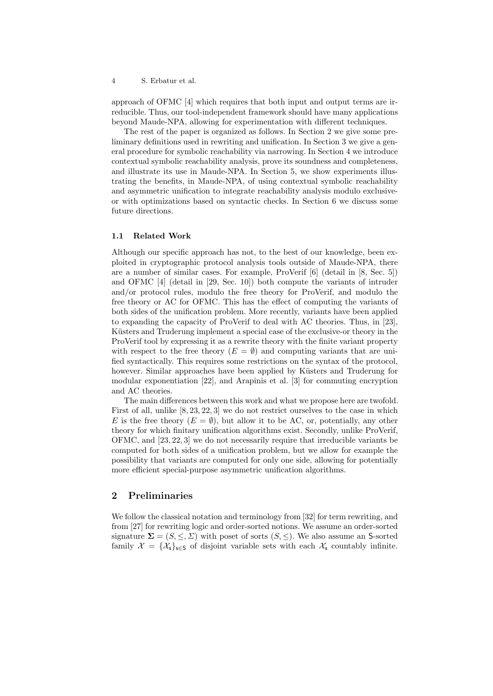approach of OFMC [4] which requires that both input and output terms are irreducible. Thus, our tool-independent framework should have many applications beyond Maude-NPA, allowing for experimentation with different techniques.

The rest of the paper is organized as follows. In Section 2 we give some preliminary definitions used in rewriting and unification. In Section 3 we give a general procedure for symbolic reachability via narrowing. In Section 4 we introduce contextual symbolic reachability analysis, prove its soundness and completeness, and illustrate its use in Maude-NPA. In Section 5, we show experiments illustrating the benefits, in Maude-NPA, of using contextual symbolic reachability and asymmetric unification to integrate reachability analysis modulo exclusiveor with optimizations based on syntactic checks. In Section 6 we discuss some future directions.

#### 1.1 Related Work

Although our specific approach has not, to the best of our knowledge, been exploited in cryptographic protocol analysis tools outside of Maude-NPA, there are a number of similar cases. For example, ProVerif [6] (detail in [8, Sec. 5]) and OFMC [4] (detail in [29, Sec. 10]) both compute the variants of intruder and/or protocol rules, modulo the free theory for ProVerif, and modulo the free theory or AC for OFMC. This has the effect of computing the variants of both sides of the unification problem. More recently, variants have been applied to expanding the capacity of ProVerif to deal with AC theories. Thus, in [23], Küsters and Truderung implement a special case of the exclusive-or theory in the ProVerif tool by expressing it as a rewrite theory with the finite variant property with respect to the free theory  $(E = \emptyset)$  and computing variants that are unified syntactically. This requires some restrictions on the syntax of the protocol, however. Similar approaches have been applied by Küsters and Truderung for modular exponentiation [22], and Arapinis et al. [3] for commuting encryption and AC theories.

The main differences between this work and what we propose here are twofold. First of all, unlike [8, 23, 22, 3] we do not restrict ourselves to the case in which E is the free theory  $(E = \emptyset)$ , but allow it to be AC, or, potentially, any other theory for which finitary unification algorithms exist. Secondly, unlike ProVerif, OFMC, and [23, 22, 3] we do not necessarily require that irreducible variants be computed for both sides of a unification problem, but we allow for example the possibility that variants are computed for only one side, allowing for potentially more efficient special-purpose asymmetric unification algorithms.

## 2 Preliminaries

We follow the classical notation and terminology from [32] for term rewriting, and from [27] for rewriting logic and order-sorted notions. We assume an order-sorted signature  $\Sigma = (S, \leq, \Sigma)$  with poset of sorts  $(S, \leq)$ . We also assume an S-sorted family  $\mathcal{X} = {\mathcal{X}_s}_{s \in S}$  of disjoint variable sets with each  $\mathcal{X}_s$  countably infinite.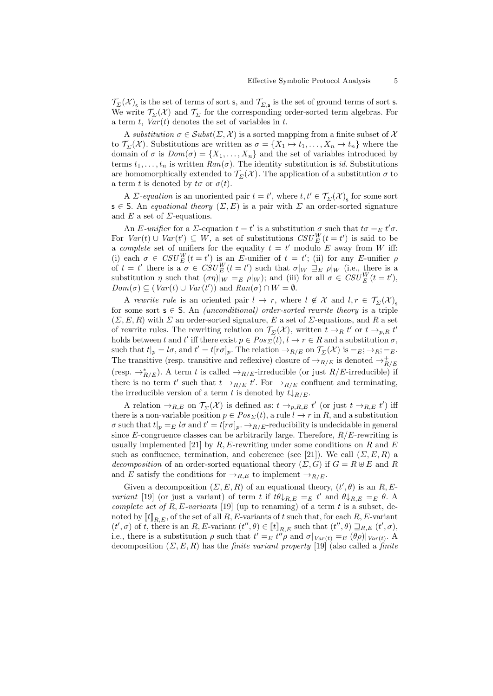$\mathcal{T}_{\Sigma}(\mathcal{X})_{\sf s}$  is the set of terms of sort s, and  $\mathcal{T}_{\Sigma, \sf s}$  is the set of ground terms of sort s. We write  $\mathcal{T}_{\Sigma}(\mathcal{X})$  and  $\mathcal{T}_{\Sigma}$  for the corresponding order-sorted term algebras. For a term t,  $Var(t)$  denotes the set of variables in t.

A substitution  $\sigma \in Subst(\Sigma, \mathcal{X})$  is a sorted mapping from a finite subset of X to  $\mathcal{T}_{\Sigma}(\mathcal{X})$ . Substitutions are written as  $\sigma = \{X_1 \mapsto t_1, \ldots, X_n \mapsto t_n\}$  where the domain of  $\sigma$  is  $Dom(\sigma) = \{X_1, \ldots, X_n\}$  and the set of variables introduced by terms  $t_1, \ldots, t_n$  is written  $Ran(\sigma)$ . The identity substitution is id. Substitutions are homomorphically extended to  $\mathcal{T}_{\Sigma}(\mathcal{X})$ . The application of a substitution  $\sigma$  to a term t is denoted by  $t\sigma$  or  $\sigma(t)$ .

A  $\Sigma$ -equation is an unoriented pair  $t = t'$ , where  $t, t' \in \mathcal{T}_{\Sigma}(\mathcal{X})_s$  for some sort  $s \in S$ . An *equational theory*  $(\Sigma, E)$  is a pair with  $\Sigma$  an order-sorted signature and E a set of  $\Sigma$ -equations.

An E-unifier for a  $\Sigma$ -equation  $t = t'$  is a substitution  $\sigma$  such that  $t\sigma =_E t'\sigma$ . For  $Var(t) \cup Var(t') \subseteq W$ , a set of substitutions  $CSU_{E}^{W}(t = t')$  is said to be a complete set of unifiers for the equality  $t = t'$  modulo E away from W iff: (i) each  $\sigma \in \mathit{CSU}^W_E(t=t')$  is an E-unifier of  $t=t'$ ; (ii) for any E-unifier  $\rho$ of  $t = t'$  there is a  $\sigma \in \text{CSU}_{E}^{W}(t = t')$  such that  $\sigma|_{W} \supseteq_{E} \rho|_{W}$  (i.e., there is a substitution  $\eta$  such that  $(\sigma \eta)|_W =_E \rho |_W$ ); and (iii) for all  $\sigma \in \mathit{CSU}^W_E(t=t')$ ,  $Dom(\sigma) \subseteq (Var(t) \cup Var(t'))$  and  $Ran(\sigma) \cap W = \emptyset$ .

A rewrite rule is an oriented pair  $l \to r$ , where  $l \notin \mathcal{X}$  and  $l, r \in \mathcal{T}_{\Sigma}(\mathcal{X})_{s}$ for some sort  $s \in S$ . An *(unconditional) order-sorted rewrite theory* is a triple  $(\Sigma, E, R)$  with  $\Sigma$  an order-sorted signature, E a set of  $\Sigma$ -equations, and R a set of rewrite rules. The rewriting relation on  $\mathcal{T}_{\Sigma}(\mathcal{X})$ , written  $t \to_R t'$  or  $t \to_{p,R} t'$ holds between t and t' iff there exist  $p \in Pos_{\Sigma}(t), l \to r \in R$  and a substitution  $\sigma$ , such that  $t|_p = l\sigma$ , and  $t' = t[r\sigma]_p$ . The relation  $\rightarrow_{R/E}$  on  $\mathcal{T}_{\Sigma}(\mathcal{X})$  is  $=_E$ ;  $\rightarrow_{R}$ ;  $=_E$ . The transitive (resp. transitive and reflexive) closure of  $\rightarrow_{R/E}$  is denoted  $\rightarrow_{R/E}^+$ (resp.  $\rightarrow_{R/E}^*$ ). A term t is called  $\rightarrow_{R/E}$ -irreducible (or just  $R/E$ -irreducible) if there is no term t' such that  $t \to_{R/E} t'$ . For  $\to_{R/E}$  confluent and terminating, the irreducible version of a term t is denoted by  $t\downarrow_{R/E}$ .

A relation  $\to_{R,E}$  on  $\mathcal{T}_{\Sigma}(\mathcal{X})$  is defined as:  $t \to_{p,R,E} t'$  (or just  $t \to_{R,E} t'$ ) iff there is a non-variable position  $p \in Pos_{\Sigma}(t)$ , a rule  $l \to r$  in R, and a substitution  $\sigma$  such that  $t|_p =_E l\sigma$  and  $t' = t[r\sigma]_p$ .  $\rightarrow_{R/E}$ -reducibility is undecidable in general since E-congruence classes can be arbitrarily large. Therefore,  $R/E$ -rewriting is usually implemented [21] by R, E-rewriting under some conditions on R and E such as confluence, termination, and coherence (see [21]). We call  $(\Sigma, E, R)$  a decomposition of an order-sorted equational theory  $(\Sigma, G)$  if  $G = R \oplus E$  and R and E satisfy the conditions for  $\rightarrow_{R,E}$  to implement  $\rightarrow_{R/E}$ .

Given a decomposition  $(\Sigma, E, R)$  of an equational theory,  $(t', \theta)$  is an R, Evariant [19] (or just a variant) of term t if  $t\theta\downarrow_{R,E} =_E t'$  and  $\theta\downarrow_{R,E} =_E \theta$ . complete set of R, E-variants [19] (up to renaming) of a term t is a subset, denoted by  $[[t]]_{R,E}$ , of the set of all  $R, E$ -variants of t such that, for each  $R, E$ -variant  $(t', \sigma)$  of t, there is an R, E-variant  $(t'', \theta) \in [t]_{R,E}$  such that  $(t'', \theta) \sqsupseteq_{R,E} (t', \sigma)$ , i.e., there is a substitution  $\rho$  such that  $t' =_E t^{i\gamma} \rho$  and  $\sigma|_{Var(t)} =_E (\theta \rho)|_{Var(t)}$ . decomposition  $(\Sigma, E, R)$  has the *finite variant property* [19] (also called a *finite*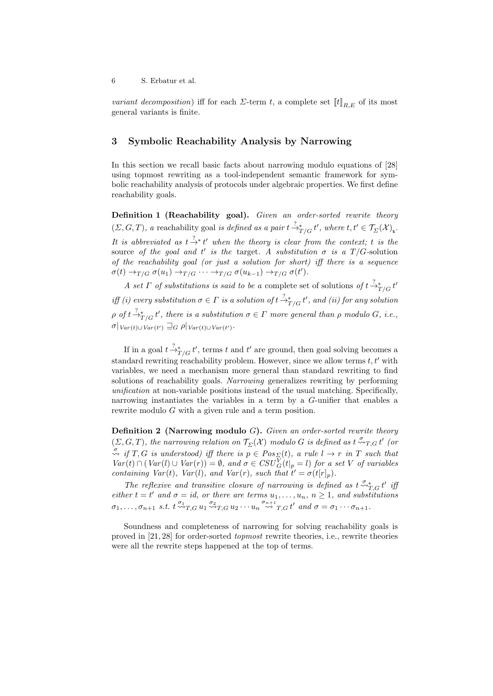variant decomposition) iff for each  $\Sigma$ -term t, a complete set  $[[t]]_{R,E}$  of its most general variants is finite.

### 3 Symbolic Reachability Analysis by Narrowing

In this section we recall basic facts about narrowing modulo equations of [28] using topmost rewriting as a tool-independent semantic framework for symbolic reachability analysis of protocols under algebraic properties. We first define reachability goals.

Definition 1 (Reachability goal). Given an order-sorted rewrite theory  $(\Sigma, G, T)$ , a reachability goal is defined as a pair  $t \stackrel{?}{\rightarrow}^*_{T/G} t'$ , where  $t, t' \in \mathcal{T}_{\Sigma}(\mathcal{X})_{\mathsf{s}}$ . It is abbreviated as  $t \stackrel{?}{\rightarrow} t'$  when the theory is clear from the context; t is the source of the goal and t' is the target. A substitution  $\sigma$  is a T/G-solution of the reachability goal (or just a solution for short) iff there is a sequence  $\sigma(t) \rightarrow_{T/G} \sigma(u_1) \rightarrow_{T/G} \cdots \rightarrow_{T/G} \sigma(u_{k-1}) \rightarrow_{T/G} \sigma(t').$ 

A set  $\Gamma$  of substitutions is said to be a complete set of solutions of  $t \frac{?}{\rightarrow T/G} t'$ iff (i) every substitution  $\sigma \in \Gamma$  is a solution of  $t \frac{2}{T}$   $\rightarrow_{T/G}^* t'$ , and (ii) for any solution  $\rho$  of  $t\stackrel{?}{\rightarrow}_{T/G}^*t'$ , there is a substitution  $\sigma\in\Gamma$  more general than  $\rho$  modulo  $G$ , i.e.,  $\sigma|_{Var(t)\cup Var(t')} \sqsupseteq_G \rho|_{Var(t)\cup Var(t')}$ .

If in a goal  $t \stackrel{?}{\rightarrow}^*_{T/G} t'$ , terms t and t' are ground, then goal solving becomes a standard rewriting reachability problem. However, since we allow terms  $t, t'$  with variables, we need a mechanism more general than standard rewriting to find solutions of reachability goals. Narrowing generalizes rewriting by performing unification at non-variable positions instead of the usual matching. Specifically, narrowing instantiates the variables in a term by a G-unifier that enables a rewrite modulo G with a given rule and a term position.

**Definition 2** (Narrowing modulo  $G$ ). Given an order-sorted rewrite theory  $(\Sigma,G,T)$ , the narrowing relation on  $\mathcal{T}_{\Sigma}(\mathcal{X})$  modulo G is defined as  $t \stackrel{\sigma}{\leadsto}_{T,G} t'$  (or  $\stackrel{\sigma}{\leadsto}$  if T, G is understood) iff there is  $p \in Pos_{\Sigma}(t)$ , a rule  $l \to r$  in T such that  $Var(t) \cap (Var(l) \cup Var(r)) = \emptyset$ , and  $\sigma \in CSU_G^V(t|_p = l)$  for a set V of variables containing  $Var(t)$ ,  $Var(l)$ , and  $Var(r)$ , such that  $t' = \sigma(t[r]_p)$ .

The reflexive and transitive closure of narrowing is defined as  $t \stackrel{\sigma_{*}}{\sim_{T,G}} t'$  if either  $t = t'$  and  $\sigma = id$ , or there are terms  $u_1, \ldots, u_n$ ,  $n \geq 1$ , and substitutions  $\sigma_1, \ldots, \sigma_{n+1}$  s.t.  $t \stackrel{\sigma_1}{\leadsto} _{T,G} u_1 \stackrel{\sigma_2}{\leadsto} _{T,G} u_2 \cdots u_n \stackrel{\sigma_{n+1}}{\leadsto} _{T,G} t'$  and  $\sigma = \sigma_1 \cdots \sigma_{n+1}$ .

Soundness and completeness of narrowing for solving reachability goals is proved in [21, 28] for order-sorted topmost rewrite theories, i.e., rewrite theories were all the rewrite steps happened at the top of terms.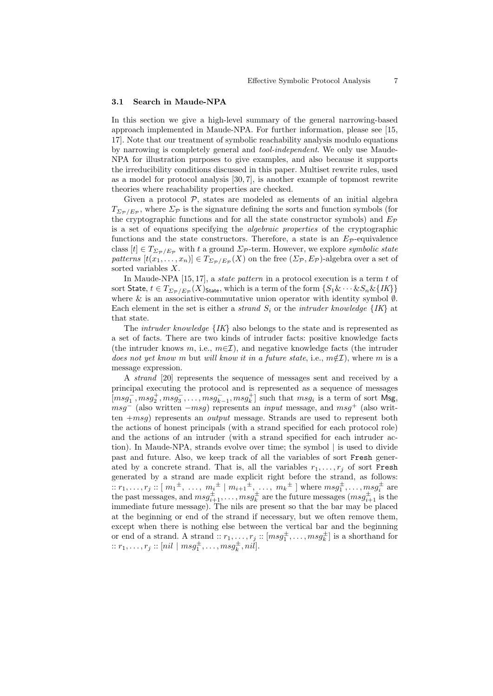#### 3.1 Search in Maude-NPA

In this section we give a high-level summary of the general narrowing-based approach implemented in Maude-NPA. For further information, please see [15, 17]. Note that our treatment of symbolic reachability analysis modulo equations by narrowing is completely general and tool-independent. We only use Maude-NPA for illustration purposes to give examples, and also because it supports the irreducibility conditions discussed in this paper. Multiset rewrite rules, used as a model for protocol analysis [30, 7], is another example of topmost rewrite theories where reachability properties are checked.

Given a protocol  $P$ , states are modeled as elements of an initial algebra  $T_{\Sigma_{\mathcal{P}}/E_{\mathcal{P}}}$ , where  $\Sigma_{\mathcal{P}}$  is the signature defining the sorts and function symbols (for the cryptographic functions and for all the state constructor symbols) and  $E_{\mathcal{P}}$ is a set of equations specifying the algebraic properties of the cryptographic functions and the state constructors. Therefore, a state is an  $E_p$ -equivalence class  $[t] \in T_{\Sigma_{\mathcal{P}}/E_{\mathcal{P}}}$  with t a ground  $\Sigma_{\mathcal{P}}$ -term. However, we explore symbolic state patterns  $[t(x_1, \ldots, x_n)] \in T_{\Sigma_{\mathcal{P}}/E_{\mathcal{P}}}(X)$  on the free  $(\Sigma_{\mathcal{P}}, E_{\mathcal{P}})$ -algebra over a set of sorted variables X.

In Maude-NPA  $[15, 17]$ , a *state pattern* in a protocol execution is a term  $t$  of sort  ${\sf State},\,t\in T_{\varSigma_{\cal P}/E_{\cal P}}(X)_{{\sf State}},$  which is a term of the form  $\{S_1\&\cdots\&S_n\&\{IK\}\}$ where & is an associative-commutative union operator with identity symbol  $\emptyset$ . Each element in the set is either a *strand*  $S_i$  or the *intruder knowledge*  $\{IK\}$  at that state.

The *intruder knowledge*  $\{IK\}$  also belongs to the state and is represented as a set of facts. There are two kinds of intruder facts: positive knowledge facts (the intruder knows m, i.e.,  $m\in\mathcal{I}$ ), and negative knowledge facts (the intruder does not yet know m but will know it in a future state, i.e.,  $m\notin\mathcal{I}$ ), where m is a message expression.

A strand [20] represents the sequence of messages sent and received by a principal executing the protocol and is represented as a sequence of messages  $[msg_1^-, msg_2^+, msg_3^-, \ldots, msg_{k-1}^-, msg_k^+]$  such that  $msg_i$  is a term of sort Msg,  $msg^-$  (also written  $-msg$ ) represents an *input* message, and  $msg^+$  (also written  $+msq$ ) represents an *output* message. Strands are used to represent both the actions of honest principals (with a strand specified for each protocol role) and the actions of an intruder (with a strand specified for each intruder action). In Maude-NPA, strands evolve over time; the symbol | is used to divide past and future. Also, we keep track of all the variables of sort Fresh generated by a concrete strand. That is, all the variables  $r_1, \ldots, r_j$  of sort Fresh generated by a strand are made explicit right before the strand, as follows:  $x_1, \ldots, r_j :: [m_1^{\pm}, \ldots, m_i^{\pm} | m_{i+1}^{\pm}, \ldots, m_k^{\pm}]$  where  $msg_1^{\pm}, \ldots, msg_i^{\pm}$  are the past messages, and  $msg_{i+1}^{\pm}, \ldots, msg_{k}^{\pm}$  are the future messages  $(msg_{i+1}^{\pm}$  is the immediate future message). The nils are present so that the bar may be placed at the beginning or end of the strand if necessary, but we often remove them, except when there is nothing else between the vertical bar and the beginning or end of a strand. A strand  $:: r_1, \ldots, r_j :: [msg_1^{\pm}, \ldots, msg_\kappa^{\pm}]$  is a shorthand for  $:: r_1, \ldots, r_j :: [nil \mid msg_1^{\pm}, \ldots, msg_k^{\pm}, nil].$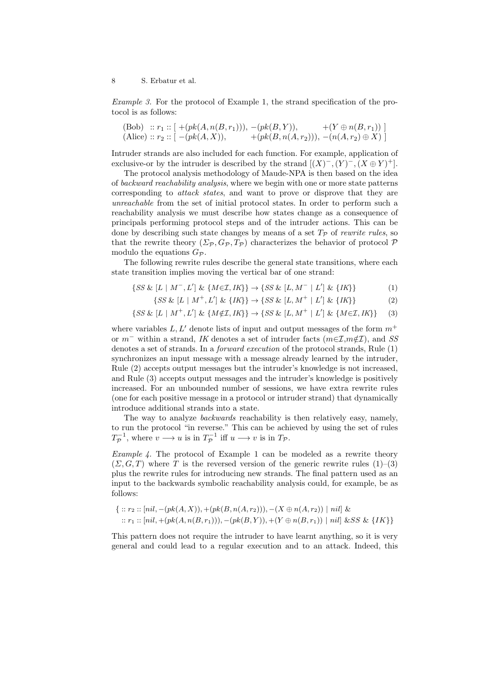Example 3. For the protocol of Example 1, the strand specification of the protocol is as follows:

(Bob) :: 
$$
r_1
$$
 ::  $[-(pk(A, n(B, r_1))), -(pk(B, Y)), +(Y \oplus n(B, r_1))]$   
(Alice) ::  $r_2$  ::  $[-(pk(A, X)), +(pk(B, n(A, r_2))), -(n(A, r_2) \oplus X)]$ 

Intruder strands are also included for each function. For example, application of exclusive-or by the intruder is described by the strand  $[(X)^{-}, (Y)^{-}, (X \oplus Y)^{+}]$ .

The protocol analysis methodology of Maude-NPA is then based on the idea of backward reachability analysis, where we begin with one or more state patterns corresponding to *attack states*, and want to prove or disprove that they are unreachable from the set of initial protocol states. In order to perform such a reachability analysis we must describe how states change as a consequence of principals performing protocol steps and of the intruder actions. This can be done by describing such state changes by means of a set  $T_p$  of rewrite rules, so that the rewrite theory  $(\Sigma_{\mathcal{P}}, G_{\mathcal{P}}, T_{\mathcal{P}})$  characterizes the behavior of protocol  $\mathcal P$ modulo the equations  $G_{\mathcal{P}}$ .

The following rewrite rules describe the general state transitions, where each state transition implies moving the vertical bar of one strand:

- $\{SS \& [L \mid M^-, L'] \& \{M \in \mathcal{I}, IK\} \} \rightarrow \{SS \& [L, M^- \mid L'] \& \{IK\} \}$  (1)
	- $\{SS \& [L \mid M^+, L'] \& \{IK\} \} \rightarrow \{SS \& [L, M^+ \mid L'] \& \{IK\} \}$  (2)

$$
\{SS \& [L \mid M^+, L'] \& \{M \notin \mathcal{I}, IK\} \} \rightarrow \{SS \& [L, M^+ \mid L'] \& \{M \in \mathcal{I}, IK\} \} \tag{3}
$$

where variables  $L, L'$  denote lists of input and output messages of the form  $m^+$ or  $m^-$  within a strand, IK denotes a set of intruder facts  $(m \in \mathcal{I}, m \notin \mathcal{I})$ , and SS denotes a set of strands. In a *forward execution* of the protocol strands, Rule  $(1)$ synchronizes an input message with a message already learned by the intruder, Rule (2) accepts output messages but the intruder's knowledge is not increased, and Rule (3) accepts output messages and the intruder's knowledge is positively increased. For an unbounded number of sessions, we have extra rewrite rules (one for each positive message in a protocol or intruder strand) that dynamically introduce additional strands into a state.

The way to analyze *backwards* reachability is then relatively easy, namely, to run the protocol "in reverse." This can be achieved by using the set of rules  $T_{\mathcal{P}}^{-1}$ , where  $v \longrightarrow u$  is in  $T_{\mathcal{P}}^{-1}$  iff  $u \longrightarrow v$  is in  $T_{\mathcal{P}}$ .

Example 4. The protocol of Example 1 can be modeled as a rewrite theory  $(\Sigma, G, T)$  where T is the reversed version of the generic rewrite rules  $(1)$ – $(3)$ plus the rewrite rules for introducing new strands. The final pattern used as an input to the backwards symbolic reachability analysis could, for example, be as follows:

$$
\{ :: r_2 :: [nil, -(pk(A, X)), +(pk(B, n(A, r_2))), -(X \oplus n(A, r_2)) \mid nil] \&
$$
  
 
$$
:: r_1 :: [nil, +(pk(A, n(B, r_1))), -(pk(B, Y)), +(Y \oplus n(B, r_1)) \mid nil] \& SS \& \{IK\}
$$

This pattern does not require the intruder to have learnt anything, so it is very general and could lead to a regular execution and to an attack. Indeed, this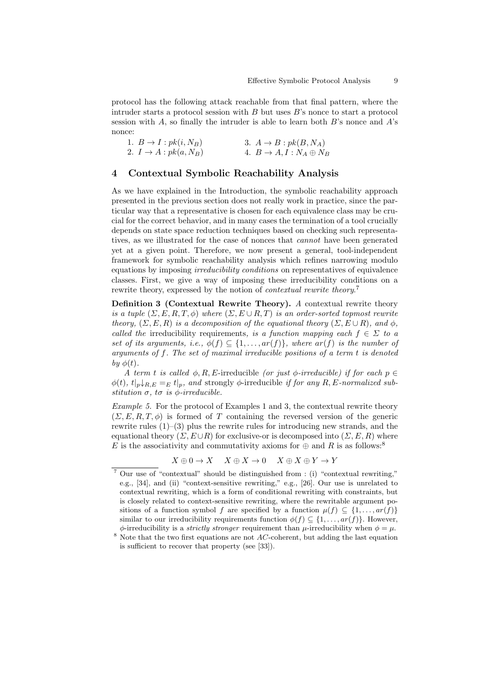protocol has the following attack reachable from that final pattern, where the intruder starts a protocol session with  $B$  but uses  $B$ 's nonce to start a protocol session with  $A$ , so finally the intruder is able to learn both  $B$ 's nonce and  $A$ 's nonce:

| 1. $B \to I : pk(i, N_B)$         | 3. $A \rightarrow B : pk(B, N_A)$ |
|-----------------------------------|-----------------------------------|
| 2. $I \rightarrow A : pk(a, N_B)$ | 4. $B \to A, I : N_A \oplus N_B$  |

#### 4 Contextual Symbolic Reachability Analysis

As we have explained in the Introduction, the symbolic reachability approach presented in the previous section does not really work in practice, since the particular way that a representative is chosen for each equivalence class may be crucial for the correct behavior, and in many cases the termination of a tool crucially depends on state space reduction techniques based on checking such representatives, as we illustrated for the case of nonces that cannot have been generated yet at a given point. Therefore, we now present a general, tool-independent framework for symbolic reachability analysis which refines narrowing modulo equations by imposing irreducibility conditions on representatives of equivalence classes. First, we give a way of imposing these irreducibility conditions on a rewrite theory, expressed by the notion of *contextual rewrite theory*.<sup>7</sup>

Definition 3 (Contextual Rewrite Theory). A contextual rewrite theory is a tuple  $(\Sigma, E, R, T, \phi)$  where  $(\Sigma, E \cup R, T)$  is an order-sorted topmost rewrite theory,  $(\Sigma, E, R)$  is a decomposition of the equational theory  $(\Sigma, E \cup R)$ , and  $\phi$ , called the irreducibility requirements, is a function mapping each  $f \in \Sigma$  to a set of its arguments, i.e.,  $\phi(f) \subseteq \{1, \ldots, ar(f)\}\$ , where  $ar(f)$  is the number of arguments of f. The set of maximal irreducible positions of a term t is denoted by  $\phi(t)$ .

A term t is called  $\phi$ , R, E-irreducible (or just  $\phi$ -irreducible) if for each  $p \in$  $\phi(t)$ ,  $t|_{p\downarrow R,E} =_E t|_{p}$ , and strongly  $\phi$ -irreducible if for any R, E-normalized substitution  $\sigma$ , to is  $\phi$ -irreducible.

Example 5. For the protocol of Examples 1 and 3, the contextual rewrite theory  $(\Sigma, E, R, T, \phi)$  is formed of T containing the reversed version of the generic rewrite rules  $(1)$ – $(3)$  plus the rewrite rules for introducing new strands, and the equational theory  $(\Sigma, E \cup R)$  for exclusive-or is decomposed into  $(\Sigma, E, R)$  where E is the associativity and commutativity axioms for  $\oplus$  and R is as follows:<sup>8</sup>

 $X \oplus 0 \to X \quad X \oplus X \to 0 \quad X \oplus X \oplus Y \to Y$ 

<sup>7</sup> Our use of "contextual" should be distinguished from : (i) "contextual rewriting," e.g., [34], and (ii) "context-sensitive rewriting," e.g., [26]. Our use is unrelated to contextual rewriting, which is a form of conditional rewriting with constraints, but is closely related to context-sensitive rewriting, where the rewritable argument positions of a function symbol f are specified by a function  $\mu(f) \subseteq \{1, \ldots, ar(f)\}\$ similar to our irreducibility requirements function  $\phi(f) \subseteq \{1, \ldots, ar(f)\}\.$  However,  $\phi$ -irreducibility is a *strictly stronger* requirement than  $\mu$ -irreducibility when  $\phi = \mu$ .

 $8$  Note that the two first equations are not AC-coherent, but adding the last equation is sufficient to recover that property (see [33]).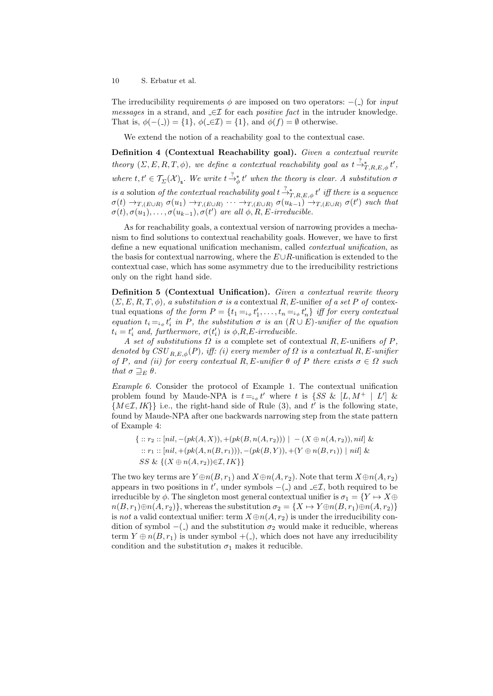The irreducibility requirements  $\phi$  are imposed on two operators:  $-(-)$  for *input* messages in a strand, and  $\text{ } \in \mathcal{I}$  for each *positive fact* in the intruder knowledge. That is,  $\phi(-())=\{1\}$ ,  $\phi(\text{-}\in\mathcal{I})=\{1\}$ , and  $\phi(f)=\emptyset$  otherwise.

We extend the notion of a reachability goal to the contextual case.

Definition 4 (Contextual Reachability goal). Given a contextual rewrite theory  $(\Sigma, E, R, T, \phi)$ , we define a contextual reachability goal as  $t \stackrel{?}{\rightarrow}_{T,R,E,\phi}^* t'$ , where  $t, t' \in \mathcal{T}_{\Sigma}(\mathcal{X})_{\mathsf{s}}$ . We write  $t \stackrel{?}{\rightarrow}_{\phi} t'$  when the theory is clear. A substitution  $\sigma$ is a solution of the contextual reachability goal  $t \frac{?}{\rightarrow T,R,E,\phi} t'$  iff there is a sequence  $\sigma(t) \rightarrow_{T,(E \cup R)} \sigma(u_1) \rightarrow_{T,(E \cup R)} \cdots \rightarrow_{T,(E \cup R)} \sigma(u_{k-1}) \rightarrow_{T,(E \cup R)} \sigma(t')$  such that  $\sigma(t), \sigma(u_1), \ldots, \sigma(u_{k-1}), \sigma(t') \text{ are all } \phi, R, E\text{-irreducible}.$ 

As for reachability goals, a contextual version of narrowing provides a mechanism to find solutions to contextual reachability goals. However, we have to first define a new equational unification mechanism, called contextual unification, as the basis for contextual narrowing, where the  $E\cup R$ -unification is extended to the contextual case, which has some asymmetry due to the irreducibility restrictions only on the right hand side.

Definition 5 (Contextual Unification). Given a contextual rewrite theory  $(\Sigma, E, R, T, \phi)$ , a substitution  $\sigma$  is a contextual R, E-unifier of a set P of contextual equations of the form  $P = \{t_1 = \emptyset, t'_1, \dots, t_n = \emptyset, t'_n\}$  iff for every contextual equation  $t_i = \bigcup_{\phi} t'_i$  in P, the substitution  $\sigma$  is an  $(R \cup E)$ -unifier of the equation  $t_i = t'_i$  and, furthermore,  $\sigma(t'_i)$  is  $\phi, R, E$ -irreducible.

A set of substitutions  $\Omega$  is a complete set of contextual  $R$ , E-unifiers of P, denoted by  $CSU_{R,E,\phi}(P)$ , iff: (i) every member of  $\Omega$  is a contextual R, E-unifier of P, and (ii) for every contextual R, E-unifier  $\theta$  of P there exists  $\sigma \in \Omega$  such that  $\sigma \sqsupseteq_E \theta$ .

Example 6. Consider the protocol of Example 1. The contextual unification problem found by Maude-NPA is  $t = \psi_0 t'$  where t is  $\{SS \& [L, M^+ \mid L'] \&$  ${M \in \mathcal{I}, IK}$  i.e., the right-hand side of Rule (3), and t' is the following state, found by Maude-NPA after one backwards narrowing step from the state pattern of Example 4:

 $\{ \ :: r_2 :: [nil, -(pk(A, X)), +(pk(B, n(A, r_2))) \ | \ -(X \oplus n(A, r_2)), nil] \ \&$ ::  $r_1$  ::  $[nil, +(pk(A, n(B, r_1))), -(pk(B, Y)), +(Y \oplus n(B, r_1)) | nil \&$ SS &  $\{(X \oplus n(A, r_2)) \in \mathcal{I}, IK\}$ 

The two key terms are  $Y \oplus n(B, r_1)$  and  $X \oplus n(A, r_2)$ . Note that term  $X \oplus n(A, r_2)$ appears in two positions in t', under symbols  $-(-)$  and  $\subseteq \mathcal{I}$ , both required to be irreducible by  $\phi$ . The singleton most general contextual unifier is  $\sigma_1 = \{Y \mapsto X \oplus Y\}$  $n(B, r_1) \oplus n(A, r_2)$ , whereas the substitution  $\sigma_2 = \{X \mapsto Y \oplus n(B, r_1) \oplus n(A, r_2)\}$ is not a valid contextual unifier: term  $X \oplus n(A, r_2)$  is under the irreducibility condition of symbol  $-(-)$  and the substitution  $\sigma_2$  would make it reducible, whereas term  $Y \oplus n(B, r_1)$  is under symbol  $+$ (.), which does not have any irreducibility condition and the substitution  $\sigma_1$  makes it reducible.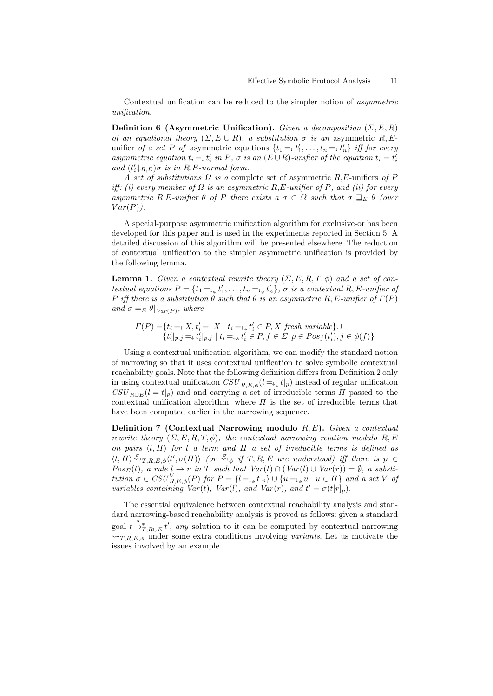Contextual unification can be reduced to the simpler notion of asymmetric unification.

**Definition 6 (Asymmetric Unification).** Given a decomposition  $(\Sigma, E, R)$ of an equational theory  $(\Sigma, E \cup R)$ , a substitution  $\sigma$  is an asymmetric R, Eunifier of a set P of asymmetric equations  $\{t_1 = \, t'_1, \ldots, t_n = \, t'_n\}$  iff for every asymmetric equation  $t_i = t'_i$  in P,  $\sigma$  is an  $(E \cup R)$ -unifier of the equation  $t_i = t'_i$ and  $(t'_{i\downarrow R,E})\sigma$  is in R,E-normal form.

A set of substitutions  $\Omega$  is a complete set of asymmetric  $R$ , E-unifiers of P iff: (i) every member of  $\Omega$  is an asymmetric R, E-unifier of P, and (ii) for every asymmetric R,E-unifier  $\theta$  of P there exists  $a \sigma \in \Omega$  such that  $\sigma \sqsupseteq_{E} \theta$  (over  $Var(P)$ .

A special-purpose asymmetric unification algorithm for exclusive-or has been developed for this paper and is used in the experiments reported in Section 5. A detailed discussion of this algorithm will be presented elsewhere. The reduction of contextual unification to the simpler asymmetric unification is provided by the following lemma.

**Lemma 1.** Given a contextual rewrite theory  $(\Sigma, E, R, T, \phi)$  and a set of contextual equations  $P = \{t_1 = \emptyset, t'_1, \dots, t_n = \emptyset, t'_n\}, \sigma \text{ is a contextual } R, E\text{-unifier of } \sigma \text{ is a constant.}$ P iff there is a substitution  $\theta$  such that  $\theta$  is an asymmetric R, E-unifier of  $\Gamma(P)$ and  $\sigma =_E \theta|_{Var(P)}$ , where

$$
T(P) = \{ t_i = \downarrow X, t_i' = \downarrow X \mid t_i = \downarrow_{\phi} t_i' \in P, X \text{ fresh variable} \} \cup \{ t_i' |_{p.j} = \downarrow t_i' |_{p.j} \mid t_i = \downarrow_{\phi} t_i' \in P, f \in \Sigma, p \in Pos_f(t_i'), j \in \phi(f) \}
$$

Using a contextual unification algorithm, we can modify the standard notion of narrowing so that it uses contextual unification to solve symbolic contextual reachability goals. Note that the following definition differs from Definition 2 only in using contextual unification  $CSU_{R,E,\phi}(l = \downarrow_{\phi} t|_p)$  instead of regular unification  $CSU_{R\cup E}(l = t|_{p})$  and and carrying a set of irreducible terms  $\Pi$  passed to the contextual unification algorithm, where  $\Pi$  is the set of irreducible terms that have been computed earlier in the narrowing sequence.

Definition 7 (Contextual Narrowing modulo  $R, E$ ). Given a contextual rewrite theory  $(\Sigma, E, R, T, \phi)$ , the contextual narrowing relation modulo R, E on pairs  $\langle t, \Pi \rangle$  for t a term and  $\Pi$  a set of irreducible terms is defined as  $\langle t, \Pi \rangle \stackrel{\sigma}{\leadsto}_{T,R,E,\phi} \langle t', \sigma(\Pi) \rangle$  (or  $\stackrel{\sigma}{\leadsto}_{\phi}$  if  $T, R, E$  are understood) iff there is  $p \in$  $Pos_{\Sigma}(t),$  a rule  $l \rightarrow r$  in T such that  $Var(t) \cap (Var(l) \cup Var(r)) = \emptyset$ , a substitution  $\sigma \in \text{CSU}_{R,E,\phi}^V(P)$  for  $P = \{l = \downarrow_{\phi} t|_p\} \cup \{u = \downarrow_{\phi} u \mid u \in \Pi\}$  and a set V of variables containing  $Var(t)$ ,  $Var(l)$ , and  $Var(r)$ , and  $t' = \sigma(t[r]_p)$ .

The essential equivalence between contextual reachability analysis and standard narrowing-based reachability analysis is proved as follows: given a standard goal  $t \frac{?}{\rightarrow T}$ <sub>T,R∪E</sub> t', any solution to it can be computed by contextual narrowing  $\rightarrow$ T,R,E, $\phi$  under some extra conditions involving variants. Let us motivate the issues involved by an example.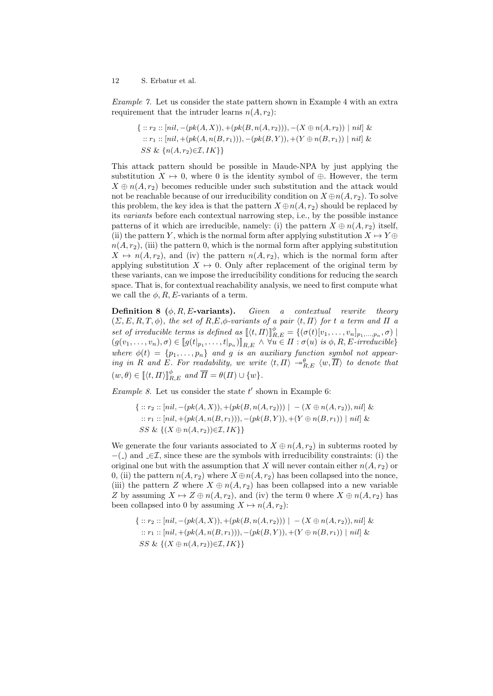Example 7. Let us consider the state pattern shown in Example 4 with an extra requirement that the intruder learns  $n(A, r_2)$ :

$$
\{ :: r_2 :: [nil, -(pk(A, X)), +(pk(B, n(A, r_2))), -(X \oplus n(A, r_2)) \mid nil] \& \newline :: r_1 :: [nil, +(pk(A, n(B, r_1))), -(pk(B, Y)), +(Y \oplus n(B, r_1)) \mid nil] \& \newline SS \& \{n(A, r_2) \in \mathcal{I}, IK\}\}
$$

This attack pattern should be possible in Maude-NPA by just applying the substitution  $X \mapsto 0$ , where 0 is the identity symbol of  $\oplus$ . However, the term  $X \oplus n(A, r_2)$  becomes reducible under such substitution and the attack would not be reachable because of our irreducibility condition on  $X \oplus n(A, r_2)$ . To solve this problem, the key idea is that the pattern  $X \oplus n(A, r_2)$  should be replaced by its variants before each contextual narrowing step, i.e., by the possible instance patterns of it which are irreducible, namely: (i) the pattern  $X \oplus n(A, r_2)$  itself, (ii) the pattern Y, which is the normal form after applying substitution  $X \mapsto Y \oplus Y$  $n(A, r_2)$ , (iii) the pattern 0, which is the normal form after applying substitution  $X \mapsto n(A, r_2)$ , and (iv) the pattern  $n(A, r_2)$ , which is the normal form after applying substitution  $X \mapsto 0$ . Only after replacement of the original term by these variants, can we impose the irreducibility conditions for reducing the search space. That is, for contextual reachability analysis, we need to first compute what we call the  $\phi$ , R, E-variants of a term.

**Definition 8** ( $\phi$ , R, E-variants). Given a contextual rewrite theory  $(\Sigma, E, R, T, \phi)$ , the set of  $R, E, \phi$ -variants of a pair  $\langle t, \Pi \rangle$  for t a term and  $\Pi$  a set of irreducible terms is defined as  $\llbracket \langle t, \Pi \rangle \rrbracket_{R,E}^{\phi} = \{ (\sigma(t)[v_1, \ldots, v_n]_{p_1, \ldots, p_n}, \sigma) \mid$  $(g(v_1, \ldots, v_n), \sigma) \in [g(t|_{p_1}, \ldots, t|_{p_n})]_{R,E} \land \forall u \in \Pi : \sigma(u) \text{ is } \phi, R, E\text{-irreducible}\}$ where  $\phi(t) = \{p_1, \ldots, p_n\}$  and g is an auxiliary function symbol not appearing in R and E. For readability, we write  $\langle t, \Pi \rangle \rightarrow^{\theta}_{R,E} \langle w, \overline{\Pi} \rangle$  to denote that  $(w, \theta) \in [\![(t, \Pi)]^\phi_{R,E} \text{ and } \overline{\Pi} = \theta(\Pi) \cup \{w\}.$ 

*Example 8.* Let us consider the state  $t'$  shown in Example 6:

$$
\{ :: r_2 :: [nil, -(pk(A, X)), +(pk(B, n(A, r_2))) \mid -(X \oplus n(A, r_2)), nil] \& \newline :: r_1 :: [nil, +(pk(A, n(B, r_1))), -(pk(B, Y)), +(Y \oplus n(B, r_1)) \mid nil] \& \newline SS \& \{(X \oplus n(A, r_2)) \in \mathcal{I}, IK\} \}
$$

We generate the four variants associated to  $X \oplus n(A, r_2)$  in subterms rooted by  $-$ ( $\Box$ ) and  $\Box \in \mathcal{I}$ , since these are the symbols with irreducibility constraints: (i) the original one but with the assumption that X will never contain either  $n(A, r_2)$  or 0, (ii) the pattern  $n(A, r_2)$  where  $X \oplus n(A, r_2)$  has been collapsed into the nonce, (iii) the pattern Z where  $X \oplus n(A, r_2)$  has been collapsed into a new variable Z by assuming  $X \mapsto Z \oplus n(A, r_2)$ , and (iv) the term 0 where  $X \oplus n(A, r_2)$  has been collapsed into 0 by assuming  $X \mapsto n(A, r_2)$ :

$$
\{ :: r_2 :: [nil, -(pk(A, X)), +(pk(B, n(A, r_2))) \mid -(X \oplus n(A, r_2)), nil] \& \newline :: r_1 :: [nil, +(pk(A, n(B, r_1))), -(pk(B, Y)), +(Y \oplus n(B, r_1)) \mid nil] \& \newline SS \& \{(X \oplus n(A, r_2)) \in \mathcal{I}, IK\} \}
$$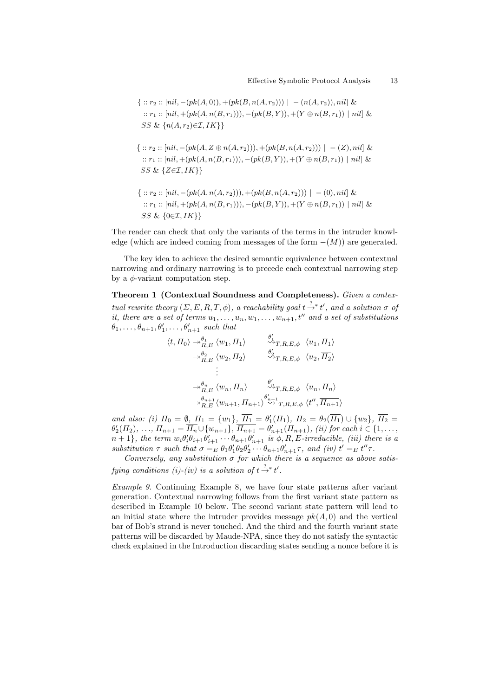$$
\{ :: r_2 :: [nil, -(pk(A, 0)), +(pk(B, n(A, r_2))) \mid -(n(A, r_2)), nil] \&
$$
  

$$
:: r_1 :: [nil, +(pk(A, n(B, r_1))), -(pk(B, Y)), +(Y \oplus n(B, r_1)) \mid nil] \&
$$
  
*SS* & { $n(A, r_2) \in \mathcal{I}, IK}$ }

- $\{:: r_2 :: [nil, -(pk(A, Z \oplus n(A, r_2))), +(pk(B, n(A, r_2))) \mid -(Z), nil] \&$ ::  $r_1$  :: [nil, +(pk(A, n(B, r<sub>1</sub>))), -(pk(B, Y)), +(Y ⊕ n(B, r<sub>1</sub>)) | nil] & SS &  $\{Z \in \mathcal{I}, IK\}$
- $\{:: r_2 :: [nil, -(pk(A, n(A, r_2))), +(pk(B, n(A, r_2))) \mid -(0), nil] \&$ ::  $r_1$  :: [nil, +(pk(A, n(B, r<sub>1</sub>))), -(pk(B, Y)), +(Y ⊕ n(B, r<sub>1</sub>)) | nil] & SS &  $\{0 \in \mathcal{I}, IK\}$

The reader can check that only the variants of the terms in the intruder knowledge (which are indeed coming from messages of the form  $-(M)$ ) are generated.

The key idea to achieve the desired semantic equivalence between contextual narrowing and ordinary narrowing is to precede each contextual narrowing step by a  $\phi$ -variant computation step.

Theorem 1 (Contextual Soundness and Completeness). Given a contextual rewrite theory  $(\Sigma, E, R, T, \phi)$ , a reachability goal  $t \stackrel{?}{\rightarrow} t'$ , and a solution  $\sigma$  of it, there are a set of terms  $u_1, \ldots, u_n, w_1, \ldots, w_{n+1}, t''$  and a set of substitutions  $\theta_1, \ldots, \theta_{n+1}, \theta'_1, \ldots, \theta'_{n+1}$  such that

$$
\langle t, \Pi_0 \rangle \rightarrow^{\theta_1}_{R,E} \langle w_1, \Pi_1 \rangle \qquad \overset{\theta'_1}{\leadsto} T, R, E, \phi \langle u_1, \overline{H_1} \rangle
$$
  
\n
$$
\rightarrow^{\theta_2}_{R,E} \langle w_2, \Pi_2 \rangle \qquad \overset{\theta'_2}{\leadsto} T, R, E, \phi \langle u_2, \overline{H_2} \rangle
$$
  
\n
$$
\vdots
$$
  
\n
$$
\rightarrow^{\theta_n}_{R,E} \langle w_n, \Pi_n \rangle \qquad \overset{\theta'_n}{\leadsto} T, R, E, \phi \langle u_n, \overline{H_n} \rangle
$$
  
\n
$$
\rightarrow^{\theta_n+1}_{R,E} \langle w_{n+1}, \Pi_{n+1} \rangle \overset{\theta'_{n+1}}{\leadsto} T, R, E, \phi \langle t'', \overline{H_{n+1}} \rangle
$$

and also: (i)  $\Pi_0 = \emptyset$ ,  $\Pi_1 = \{w_1\}$ ,  $\Pi_1 = \theta'_1(\Pi_1)$ ,  $\Pi_2 = \theta_2(\overline{\Pi_1}) \cup \{w_2\}$ ,  $\Pi_2 = \theta'_1(\Pi_1)$  $\theta_2'(T_1), \ldots, T_{n+1} = \overline{H_n} \cup \{w_{n+1}\}, \overline{H_{n+1}} = \theta'_{n+1}(T_{n+1}),$  (ii) for each  $i \in \{1, \ldots, n\}$  $n+1$ , the term  $w_i \theta'_i \theta_{i+1} \theta'_{i+1} \cdots \theta_{n+1} \theta'_{n+1}$  is  $\phi, R, E$ -irreducible, (iii) there is a substitution  $\tau$  such that  $\sigma =_E \theta_1 \theta_1' \theta_2 \theta_2' \cdots \theta_{n+1} \theta_{n+1}' \tau$ , and (iv)  $t' =_E t'' \tau$ .

Conversely, any substitution  $\sigma$  for which there is a sequence as above satisfying conditions (i)-(iv) is a solution of  $t \stackrel{?}{\rightarrow} t'.$ 

Example 9. Continuing Example 8, we have four state patterns after variant generation. Contextual narrowing follows from the first variant state pattern as described in Example 10 below. The second variant state pattern will lead to an initial state where the intruder provides message  $pk(A, 0)$  and the vertical bar of Bob's strand is never touched. And the third and the fourth variant state patterns will be discarded by Maude-NPA, since they do not satisfy the syntactic check explained in the Introduction discarding states sending a nonce before it is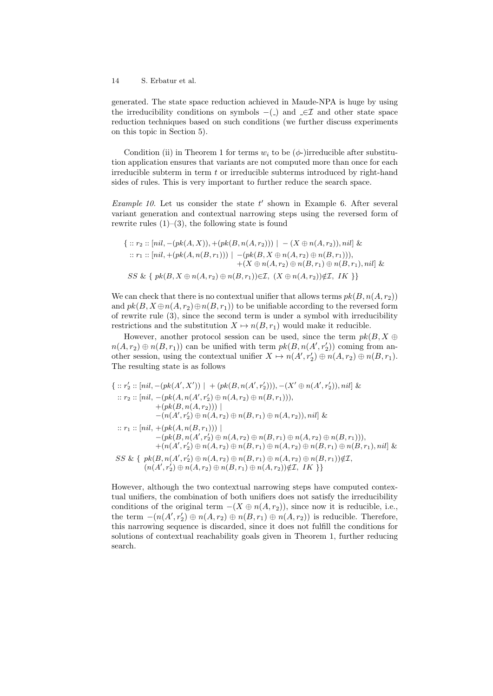generated. The state space reduction achieved in Maude-NPA is huge by using the irreducibility conditions on symbols  $-(-)$  and  $\subseteq \mathcal{I}$  and other state space reduction techniques based on such conditions (we further discuss experiments on this topic in Section 5).

Condition (ii) in Theorem 1 for terms  $w_i$  to be ( $\phi$ -)irreducible after substitution application ensures that variants are not computed more than once for each irreducible subterm in term  $t$  or irreducible subterms introduced by right-hand sides of rules. This is very important to further reduce the search space.

Example 10. Let us consider the state  $t'$  shown in Example 6. After several variant generation and contextual narrowing steps using the reversed form of rewrite rules  $(1)$ – $(3)$ , the following state is found

$$
\{ :: r_2 :: [nil, -(pk(A, X)), +(pk(B, n(A, r_2))) \mid -(X \oplus n(A, r_2)), nil] \&
$$
  
\n
$$
:: r_1 :: [nil, +(pk(A, n(B, r_1))) \mid -(pk(B, X \oplus n(A, r_2) \oplus n(B, r_1))),
$$
  
\n
$$
+(X \oplus n(A, r_2) \oplus n(B, r_1) \oplus n(B, r_1), nil] \&
$$
  
\n
$$
SS \& \{ pk(B, X \oplus n(A, r_2) \oplus n(B, r_1)) \in \mathcal{I}, (X \oplus n(A, r_2)) \notin \mathcal{I}, IK] \}
$$

We can check that there is no contextual unifier that allows terms  $pk(B, n(A, r_2))$ and  $pk(B, X \oplus n(A, r_2) \oplus n(B, r_1))$  to be unifiable according to the reversed form of rewrite rule (3), since the second term is under a symbol with irreducibility restrictions and the substitution  $X \mapsto n(B, r_1)$  would make it reducible.

However, another protocol session can be used, since the term  $pk(B, X \oplus$  $n(A, r_2) \oplus n(B, r_1)$  can be unified with term  $pk(B, n(A', r'_2))$  coming from another session, using the contextual unifier  $X \mapsto n(A', r_2') \oplus n(A, r_2) \oplus n(B, r_1)$ . The resulting state is as follows

$$
\{\ :: r'_2 : : [nil, -(pk(A', X')) \ | \ + (pk(B, n(A', r'_2))), -(X' \oplus n(A', r'_2)), nil] \&
$$
  
\n
$$
\ :: r_2 : : [nil, -(pk(A, n(A', r'_2) \oplus n(A, r_2) \oplus n(B, r_1))),
$$
  
\n
$$
\quad + (pk(B, n(A, r_2))) \ |
$$
  
\n
$$
\quad - (n(A', r'_2) \oplus n(A, r_2) \oplus n(B, r_1) \oplus n(A, r_2)), nil] \&
$$
  
\n
$$
\ :: r_1 : : [nil, +(pk(A, n(B, r_1))) \ |
$$
  
\n
$$
\quad - (pk(B, n(A', r'_2) \oplus n(A, r_2) \oplus n(B, r_1) \oplus n(A, r_2) \oplus n(B, r_1))),
$$
  
\n
$$
\quad + (n(A', r'_2) \oplus n(A, r_2) \oplus n(B, r_1) \oplus n(A, r_2) \oplus n(B, r_1) \oplus n(B, r_1)) \notin \mathcal{I},
$$
  
\n
$$
SS \& \{ pk(B, n(A', r'_2) \oplus n(A, r_2) \oplus n(B, r_1) \oplus n(A, r_2) \oplus n(B, r_1)) \notin \mathcal{I},
$$
  
\n
$$
(n(A', r'_2) \oplus n(A, r_2) \oplus n(B, r_1) \oplus n(A, r_2)) \notin \mathcal{I}, \ IR \}
$$

However, although the two contextual narrowing steps have computed contextual unifiers, the combination of both unifiers does not satisfy the irreducibility conditions of the original term  $-(X \oplus n(A, r_2))$ , since now it is reducible, i.e., the term  $-(n(A', r'_2) \oplus n(A, r_2) \oplus n(B, r_1) \oplus n(A, r_2))$  is reducible. Therefore, this narrowing sequence is discarded, since it does not fulfill the conditions for solutions of contextual reachability goals given in Theorem 1, further reducing search.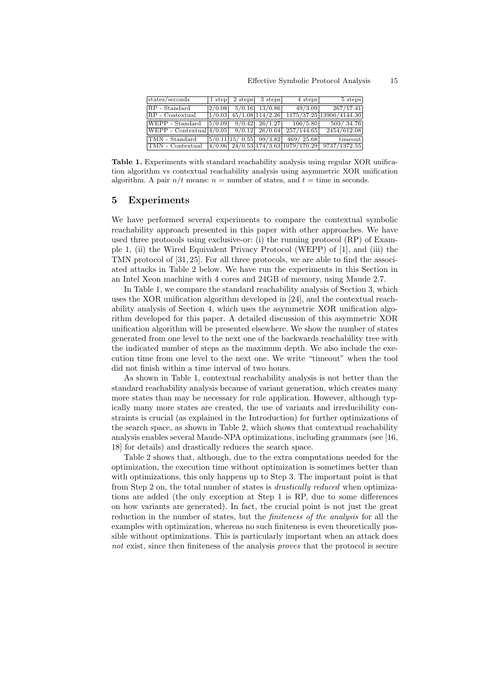| states/seconds                                                              |        | $1$ step $2$ steps $3$ steps                   | 4 steps                              | 5 steps                                                                                                         |
|-----------------------------------------------------------------------------|--------|------------------------------------------------|--------------------------------------|-----------------------------------------------------------------------------------------------------------------|
| RP - Standard                                                               |        | $\left  \frac{2}{0.08} \right $ 5/0.16 13/0.86 | 49/3.09                              | 267/17.41                                                                                                       |
| RP - Contextual                                                             |        | $1/0.03$ 45/1.08 114/2.26                      |                                      | 1175/37.25 13906/4144.30                                                                                        |
| WEPP - Standard                                                             | 5/0.09 | $9/0.42$ 26/1.27                               | 106/5.80                             | 503/34.76                                                                                                       |
| WEPP - Contextual $\left  \frac{4}{0.05} \right $ 9/0.12 26/0.64 257/144.65 |        |                                                |                                      | 2454/612.08                                                                                                     |
| TMN - Standard                                                              |        |                                                | $ 5/0.11 15/0.55 $ 99/3.82 469/25.68 | timeout                                                                                                         |
| TMN - Contextual                                                            |        |                                                |                                      | $\left  \frac{4}{0.06} \right  24/0.53 \left  \frac{174}{3.63} \right  1079/170.29 \left  \right. 9737/1372.55$ |

Table 1. Experiments with standard reachability analysis using regular XOR unification algorithm vs contextual reachability analysis using asymmetric XOR unification algorithm. A pair  $n/t$  means:  $n =$  number of states, and  $t =$  time in seconds.

## 5 Experiments

We have performed several experiments to compare the contextual symbolic reachability approach presented in this paper with other approaches. We have used three protocols using exclusive-or: (i) the running protocol (RP) of Example 1, (ii) the Wired Equivalent Privacy Protocol (WEPP) of [1], and (iii) the TMN protocol of [31, 25]. For all three protocols, we are able to find the associated attacks in Table 2 below. We have run the experiments in this Section in an Intel Xeon machine with 4 cores and 24GB of memory, using Maude 2.7.

In Table 1, we compare the standard reachability analysis of Section 3, which uses the XOR unification algorithm developed in [24], and the contextual reachability analysis of Section 4, which uses the asymmetric XOR unification algorithm developed for this paper. A detailed discussion of this asymmetric XOR unification algorithm will be presented elsewhere. We show the number of states generated from one level to the next one of the backwards reachability tree with the indicated number of steps as the maximum depth. We also include the execution time from one level to the next one. We write "timeout" when the tool did not finish within a time interval of two hours.

As shown in Table 1, contextual reachability analysis is not better than the standard reachability analysis because of variant generation, which creates many more states than may be necessary for rule application. However, although typically many more states are created, the use of variants and irreducibility constraints is crucial (as explained in the Introduction) for further optimizations of the search space, as shown in Table 2, which shows that contextual reachability analysis enables several Maude-NPA optimizations, including grammars (see [16, 18] for details) and drastically reduces the search space.

Table 2 shows that, although, due to the extra computations needed for the optimization, the execution time without optimization is sometimes better than with optimizations, this only happens up to Step 3. The important point is that from Step 2 on, the total number of states is drastically reduced when optimizations are added (the only exception at Step 1 is RP, due to some differences on how variants are generated). In fact, the crucial point is not just the great reduction in the number of states, but the *finiteness of the analysis* for all the examples with optimization, whereas no such finiteness is even theoretically possible without optimizations. This is particularly important when an attack does not exist, since then finiteness of the analysis *proves* that the protocol is secure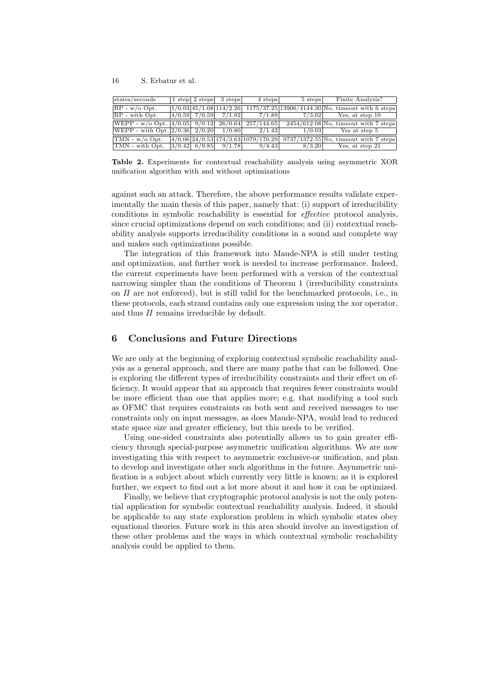| states/seconds                                                                  |                   | $1$ step $2$ steps $3$ steps | 4 steps | 5 steps | Finite Analysis?                                                                                          |
|---------------------------------------------------------------------------------|-------------------|------------------------------|---------|---------|-----------------------------------------------------------------------------------------------------------|
| $RP - w/o$ Opt.                                                                 |                   |                              |         |         | $1/0.03/45/1.08/114/2.26$ 1175/37.25 13906/4144.30 No, timeout with 6 steps                               |
| $RP - with Opt.$                                                                |                   | $4/0.59$ $7/0.59$ $7/1.92$   | 7/1.89  | 7/3.02  | Yes, at step 10                                                                                           |
| $[\text{WEPP - w/o Opt.} \mid 4/0.05 \mid 9/0.12 \mid 26/0.64 \mid 257/144.65]$ |                   |                              |         |         | $2454/612.08$ No, timeout with 7 steps                                                                    |
| $ \text{WEPP - with Opt.} \, 2/0.36  \, 2/0.20 $                                |                   | 1/0.80                       | 2/1.42  | 1/0.03  | Yes at step 5                                                                                             |
| $\text{TMN}$ - w/o Opt.                                                         |                   |                              |         |         | $\left[4/0.06\right]24/0.53\left[174/3.63\right]1079/170.29\right[9737/1372.55]$ No, timeout with 7 steps |
| TMN - with Opt.                                                                 | $ 3/0.42 $ 6/9.85 | 9/1.78                       | 9/4.43  | 8/3.20  | Yes, at step 21                                                                                           |

Table 2. Experiments for contextual reachability analysis using asymmetric XOR unification algorithm with and without optimizations

against such an attack. Therefore, the above performance results validate experimentally the main thesis of this paper, namely that: (i) support of irreducibility conditions in symbolic reachability is essential for effective protocol analysis, since crucial optimizations depend on such conditions; and (ii) contextual reachability analysis supports irreducibility conditions in a sound and complete way and makes such optimizations possible.

The integration of this framework into Maude-NPA is still under testing and optimization, and further work is needed to increase performance. Indeed, the current experiments have been performed with a version of the contextual narrowing simpler than the conditions of Theorem 1 (irreducibility constraints on  $\Pi$  are not enforced), but is still valid for the benchmarked protocols, i.e., in these protocols, each strand contains only one expression using the xor operator, and thus  $\Pi$  remains irreducible by default.

## 6 Conclusions and Future Directions

We are only at the beginning of exploring contextual symbolic reachability analysis as a general approach, and there are many paths that can be followed. One is exploring the different types of irreducibility constraints and their effect on efficiency. It would appear that an approach that requires fewer constraints would be more efficient than one that applies more; e.g. that modifying a tool such as OFMC that requires constraints on both sent and received messages to use constraints only on input messages, as does Maude-NPA, would lead to reduced state space size and greater efficiency, but this needs to be verified.

Using one-sided constraints also potentially allows us to gain greater efficiency through special-purpose asymmetric unification algorithms. We are now investigating this with respect to asymmetric exclusive-or unification, and plan to develop and investigate other such algorithms in the future. Asymmetric unification is a subject about which currently very little is known; as it is explored further, we expect to find out a lot more about it and how it can be optimized.

Finally, we believe that cryptographic protocol analysis is not the only potential application for symbolic contextual reachability analysis. Indeed, it should be applicable to any state exploration problem in which symbolic states obey equational theories. Future work in this area should involve an investigation of these other problems and the ways in which contextual symbolic reachability analysis could be applied to them.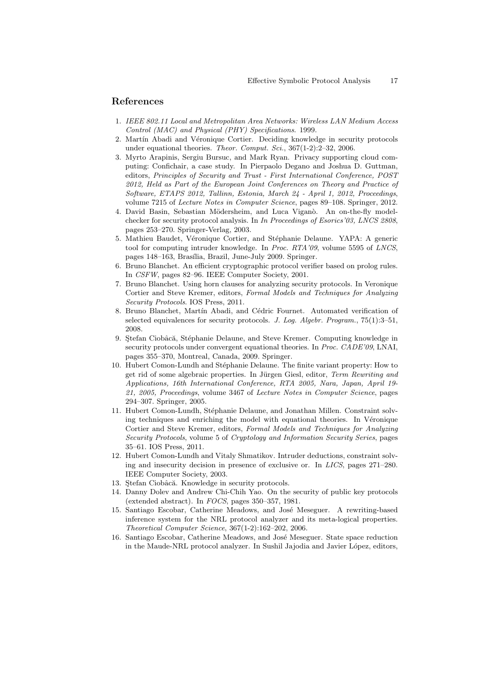## References

- 1. IEEE 802.11 Local and Metropolitan Area Networks: Wireless LAN Medium Access Control (MAC) and Physical (PHY) Specifications. 1999.
- 2. Martín Abadi and Véronique Cortier. Deciding knowledge in security protocols under equational theories. Theor. Comput. Sci., 367(1-2):2-32, 2006.
- 3. Myrto Arapinis, Sergiu Bursuc, and Mark Ryan. Privacy supporting cloud computing: Confichair, a case study. In Pierpaolo Degano and Joshua D. Guttman, editors, Principles of Security and Trust - First International Conference, POST 2012, Held as Part of the European Joint Conferences on Theory and Practice of Software, ETAPS 2012, Tallinn, Estonia, March 24 - April 1, 2012, Proceedings, volume 7215 of Lecture Notes in Computer Science, pages 89–108. Springer, 2012.
- 4. David Basin, Sebastian Mödersheim, and Luca Viganò. An on-the-fly modelchecker for security protocol analysis. In In Proceedings of Esorics'03, LNCS 2808, pages 253–270. Springer-Verlag, 2003.
- 5. Mathieu Baudet, Véronique Cortier, and Stéphanie Delaune. YAPA: A generic tool for computing intruder knowledge. In Proc. RTA'09, volume 5595 of LNCS, pages 148–163, Brasília, Brazil, June-July 2009. Springer.
- 6. Bruno Blanchet. An efficient cryptographic protocol verifier based on prolog rules. In CSFW, pages 82–96. IEEE Computer Society, 2001.
- 7. Bruno Blanchet. Using horn clauses for analyzing security protocols. In Veronique Cortier and Steve Kremer, editors, Formal Models and Techniques for Analyzing Security Protocols. IOS Press, 2011.
- 8. Bruno Blanchet, Martín Abadi, and Cédric Fournet. Automated verification of selected equivalences for security protocols. J. Log. Algebr. Program., 75(1):3–51, 2008.
- 9. Stefan Ciobâcă, Stéphanie Delaune, and Steve Kremer. Computing knowledge in security protocols under convergent equational theories. In Proc. CADE'09, LNAI, pages 355–370, Montreal, Canada, 2009. Springer.
- 10. Hubert Comon-Lundh and Stéphanie Delaune. The finite variant property: How to get rid of some algebraic properties. In Jürgen Giesl, editor, Term Rewriting and Applications, 16th International Conference, RTA 2005, Nara, Japan, April 19- 21, 2005, Proceedings, volume 3467 of Lecture Notes in Computer Science, pages 294–307. Springer, 2005.
- 11. Hubert Comon-Lundh, Stéphanie Delaune, and Jonathan Millen. Constraint solving techniques and enriching the model with equational theories. In Véronique Cortier and Steve Kremer, editors, Formal Models and Techniques for Analyzing Security Protocols, volume 5 of Cryptology and Information Security Series, pages 35–61. IOS Press, 2011.
- 12. Hubert Comon-Lundh and Vitaly Shmatikov. Intruder deductions, constraint solving and insecurity decision in presence of exclusive or. In LICS, pages 271–280. IEEE Computer Society, 2003.
- 13. Stefan Ciobâcă. Knowledge in security protocols.
- 14. Danny Dolev and Andrew Chi-Chih Yao. On the security of public key protocols (extended abstract). In FOCS, pages 350–357, 1981.
- 15. Santiago Escobar, Catherine Meadows, and José Meseguer. A rewriting-based inference system for the NRL protocol analyzer and its meta-logical properties. Theoretical Computer Science, 367(1-2):162–202, 2006.
- 16. Santiago Escobar, Catherine Meadows, and José Meseguer. State space reduction in the Maude-NRL protocol analyzer. In Sushil Jajodia and Javier López, editors,